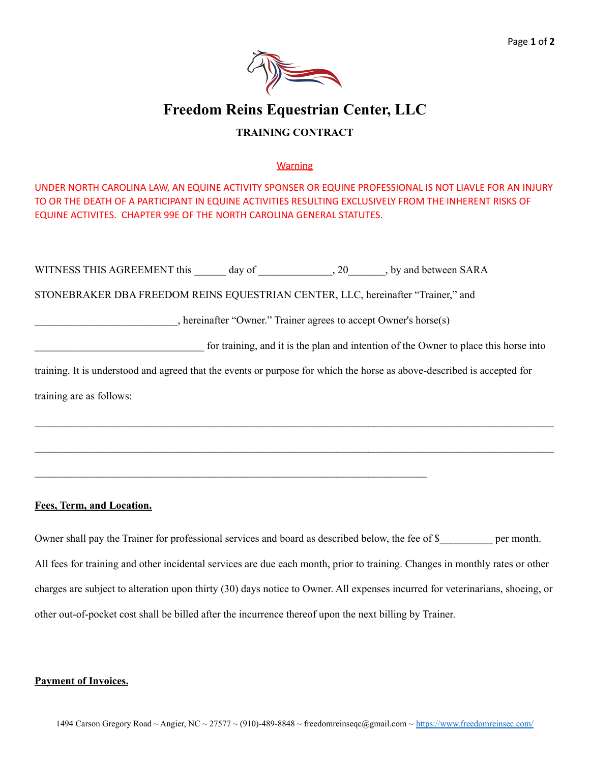# **Freedom Reins Equestrian Center, LLC**

### **TRAINING CONTRACT**

#### **Warning**

UNDER NORTH CAROLINA LAW, AN EQUINE ACTIVITY SPONSER OR EQUINE PROFESSIONAL IS NOT LIAVLE FOR AN INJURY TO OR THE DEATH OF A PARTICIPANT IN EQUINE ACTIVITIES RESULTING EXCLUSIVELY FROM THE INHERENT RISKS OF EQUINE ACTIVITES. CHAPTER 99E OF THE NORTH CAROLINA GENERAL STATUTES.

| WITNESS THIS AGREEMENT this day of 20, by and between SARA                                                              |  |  |  |
|-------------------------------------------------------------------------------------------------------------------------|--|--|--|
| STONEBRAKER DBA FREEDOM REINS EQUESTRIAN CENTER, LLC, hereinafter "Trainer," and                                        |  |  |  |
| , hereinafter "Owner." Trainer agrees to accept Owner's horse(s)                                                        |  |  |  |
| for training, and it is the plan and intention of the Owner to place this horse into                                    |  |  |  |
| training. It is understood and agreed that the events or purpose for which the horse as above-described is accepted for |  |  |  |
| training are as follows:                                                                                                |  |  |  |

 $\mathcal{L}_\mathcal{L} = \mathcal{L}_\mathcal{L} = \mathcal{L}_\mathcal{L} = \mathcal{L}_\mathcal{L} = \mathcal{L}_\mathcal{L} = \mathcal{L}_\mathcal{L} = \mathcal{L}_\mathcal{L} = \mathcal{L}_\mathcal{L} = \mathcal{L}_\mathcal{L} = \mathcal{L}_\mathcal{L} = \mathcal{L}_\mathcal{L} = \mathcal{L}_\mathcal{L} = \mathcal{L}_\mathcal{L} = \mathcal{L}_\mathcal{L} = \mathcal{L}_\mathcal{L} = \mathcal{L}_\mathcal{L} = \mathcal{L}_\mathcal{L}$ 

 $\mathcal{L}_\mathcal{L} = \mathcal{L}_\mathcal{L} = \mathcal{L}_\mathcal{L} = \mathcal{L}_\mathcal{L} = \mathcal{L}_\mathcal{L} = \mathcal{L}_\mathcal{L} = \mathcal{L}_\mathcal{L} = \mathcal{L}_\mathcal{L} = \mathcal{L}_\mathcal{L} = \mathcal{L}_\mathcal{L} = \mathcal{L}_\mathcal{L} = \mathcal{L}_\mathcal{L} = \mathcal{L}_\mathcal{L} = \mathcal{L}_\mathcal{L} = \mathcal{L}_\mathcal{L} = \mathcal{L}_\mathcal{L} = \mathcal{L}_\mathcal{L}$ 

 $\mathcal{L}_\text{max} = \frac{1}{2} \sum_{i=1}^n \mathcal{L}_\text{max}(\mathbf{x}_i - \mathbf{y}_i)$ 

#### **Fees, Term, and Location.**

Owner shall pay the Trainer for professional services and board as described below, the fee of \$\_\_\_\_\_\_\_\_\_ per month. All fees for training and other incidental services are due each month, prior to training. Changes in monthly rates or other charges are subject to alteration upon thirty (30) days notice to Owner. All expenses incurred for veterinarians, shoeing, or other out-of-pocket cost shall be billed after the incurrence thereof upon the next billing by Trainer.

#### **Payment of Invoices.**